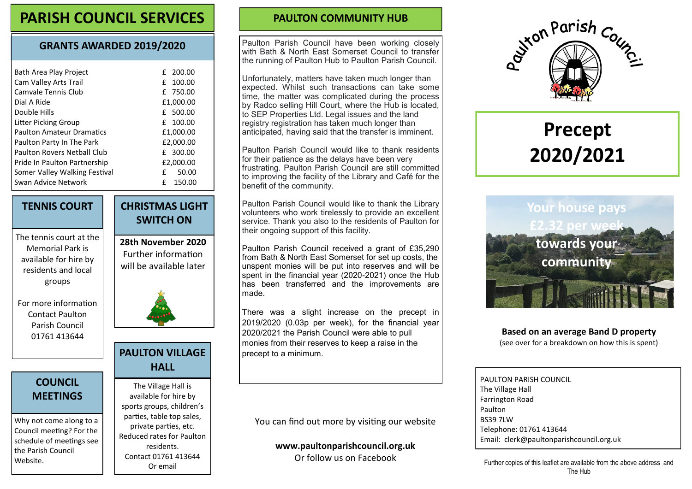## **PARISH COUNCIL SERVICES PAULTON COMMUNITY HUB**

#### **GRANTS AWARDED 2019/2020**

| Bath Area Play Project           | £ 200.00    |
|----------------------------------|-------------|
| Cam Valley Arts Trail            | 100.00<br>f |
| Camvale Tennis Club              | £ 750.00    |
| Dial A Ride                      | £1,000.00   |
| Double Hills                     | £ 500.00    |
| Litter Picking Group             | $f$ 100.00  |
| <b>Paulton Amateur Dramatics</b> | £1,000.00   |
| Paulton Party In The Park        | £2,000.00   |
| Paulton Rovers Nethall Club      | £ 300.00    |
| Pride In Paulton Partnership     | £2,000.00   |
| Somer Valley Walking Festival    | f<br>50.00  |
| Swan Advice Network              | f<br>150.00 |

#### **TENNIS COURT**

The tennis court at the Memorial Park is available for hire by residents and local groups

For more information Contact Paulton Parish Council 01761 413644

#### **COUNCIL MEETINGS**

Why not come along to a Council meeting? For the schedule of meetings see the Parish Council Website.

# **CHRISTMAS LIGHT SWITCH ON**

**28th November 2020** Further information will be available later



# **PAULTON VILLAGE**

### **HALL**

The Village Hall is available for hire by sports groups, children's parties, table top sales, private parties, etc. Reduced rates for Paulton residents. Contact 01761 413644 Or email

Paulton Parish Council have been working closely with Bath & North East Somerset Council to transfer the running of Paulton Hub to Paulton Parish Council.

Unfortunately, matters have taken much longer than expected. Whilst such transactions can take some time, the matter was complicated during the process by Radco selling Hill Court, where the Hub is located, to SEP Properties Ltd. Legal issues and the land registry registration has taken much longer than anticipated, having said that the transfer is imminent.

Paulton Parish Council would like to thank residents for their patience as the delays have been very frustrating. Paulton Parish Council are still committed to improving the facility of the Library and Café for the benefit of the community.

Paulton Parish Council would like to thank the Library volunteers who work tirelessly to provide an excellent service. Thank you also to the residents of Paulton for their ongoing support of this facility.

Paulton Parish Council received a grant of £35,290 from Bath & North East Somerset for set up costs, the unspent monies will be put into reserves and will be spent in the financial year (2020-2021) once the Hub has been transferred and the improvements are made.

There was a slight increase on the precept in 2019/2020 (0.03p per week), for the financial year 2020/2021 the Parish Council were able to pull monies from their reserves to keep a raise in the precept to a minimum.

You can find out more by visiting our website

**www.paultonparishcouncil.org.uk** Or follow us on Facebook



# **Precept 2020/2021**



#### **Based on an average Band D property**

(see over for a breakdown on how this is spent)

PAULTON PARISH COUNCIL The Village Hall Farrington Road Paulton BS39 7LW Telephone: 01761 413644 Email: clerk@paultonparishcouncil.org.uk

Further copies of this leaflet are available from the above address and The Hub